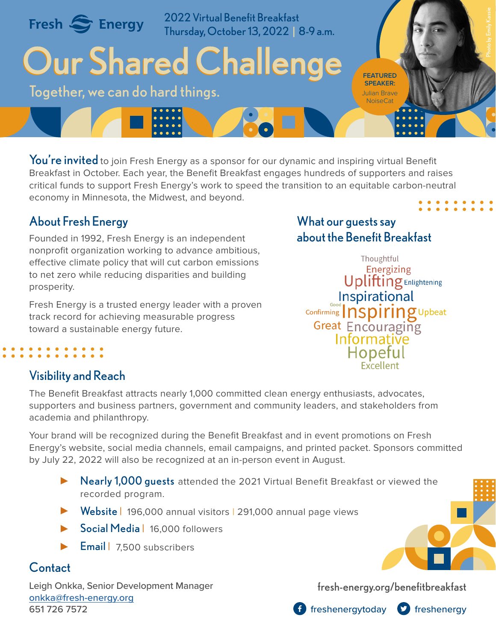

You're invited to join Fresh Energy as a sponsor for our dynamic and inspiring virtual Benefit Breakfast in October. Each year, the Benefit Breakfast engages hundreds of supporters and raises critical funds to support Fresh Energy's work to speed the transition to an equitable carbon-neutral economy in Minnesota, the Midwest, and beyond.

## About Fresh Energy

Founded in 1992, Fresh Energy is an independent nonprofit organization working to advance ambitious, effective climate policy that will cut carbon emissions to net zero while reducing disparities and building prosperity.

Fresh Energy is a trusted energy leader with a proven track record for achieving measurable progress toward a sustainable energy future.

## What our guests say about the Benefit Breakfast

Thoughtful Energizing **Uplifting** Enlightening Inspirational Confirming *nspiring* Upbeat Great Encouraging Informative Hopeful Exceller

## Visibility and Reach

The Benefit Breakfast attracts nearly 1,000 committed clean energy enthusiasts, advocates, supporters and business partners, government and community leaders, and stakeholders from academia and philanthropy.

Your brand will be recognized during the Benefit Breakfast and in event promotions on Fresh Energy's website, social media channels, email campaigns, and printed packet. Sponsors committed by July 22, 2022 will also be recognized at an in-person event in August.

- Nearly 1,000 guests attended the 2021 Virtual Benefit Breakfast or viewed the recorded program.
- ▶ Website | 196,000 annual visitors | 291,000 annual page views
- Social Media | 16,000 followers  $\blacktriangleright$
- **Email** 7.500 subscribers  $\blacktriangleright$

## Contact

Leigh Onkka, Senior Development Manager onkk[a@fresh-energy.org](mailto:onkka%40fresh-energy.org?subject=) 651 726 7572

[fresh-energy.org/benefitbreakfast](https://fresh-energy.org/benefitbreakfast)



**f** freshenergytoday **O** freshenergy